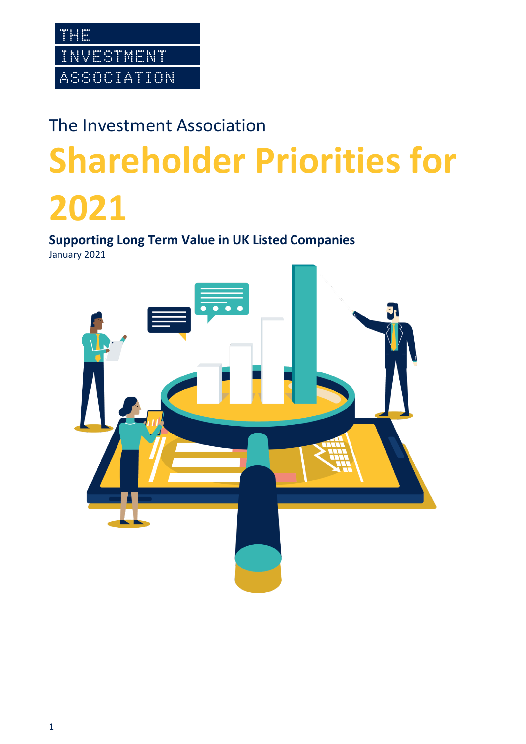# The Investment Association **Shareholder Priorities for 2021**

**Supporting Long Term Value in UK Listed Companies** January 2021

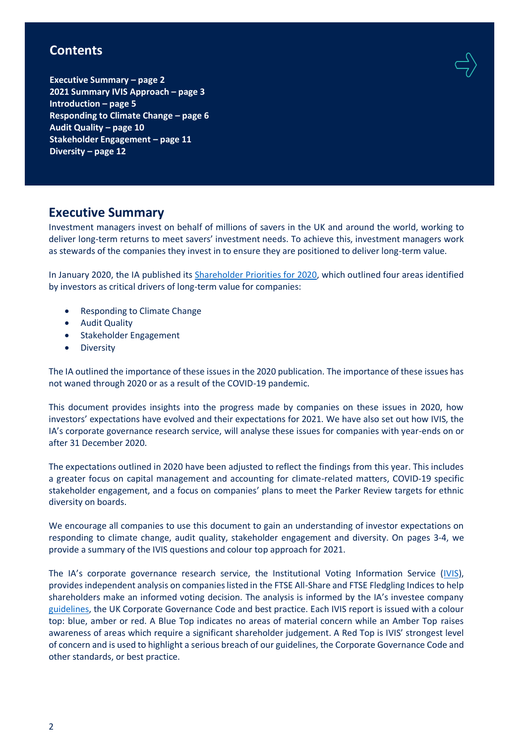### **Contents**

**Executive Summary – page 2 2021 Summary IVIS Approach – page 3 Introduction – page 5 Responding to Climate Change – page 6 Audit Quality – page 10 Stakeholder Engagement – page 11 Diversity – page 12**

### **Executive Summary**

Investment managers invest on behalf of millions of savers in the UK and around the world, working to deliver long-term returns to meet savers' investment needs. To achieve this, investment managers work as stewards of the companies they invest in to ensure they are positioned to deliver long-term value.

In January 2020, the IA published its [Shareholder Priorities for 2020,](https://ivis.co.uk/media/13879/shareholder-priorities-for-2020-supporting-long-term-value-in-uk-listed-companies.pdf) which outlined four areas identified by investors as critical drivers of long-term value for companies:

- Responding to Climate Change
- Audit Quality
- Stakeholder Engagement
- Diversity

The IA outlined the importance of these issues in the 2020 publication. The importance of these issues has not waned through 2020 or as a result of the COVID-19 pandemic.

This document provides insights into the progress made by companies on these issues in 2020, how investors' expectations have evolved and their expectations for 2021. We have also set out how IVIS, the IA's corporate governance research service, will analyse these issues for companies with year-ends on or after 31 December 2020.

The expectations outlined in 2020 have been adjusted to reflect the findings from this year. This includes a greater focus on capital management and accounting for climate-related matters, COVID-19 specific stakeholder engagement, and a focus on companies' plans to meet the Parker Review targets for ethnic diversity on boards.

We encourage all companies to use this document to gain an understanding of investor expectations on responding to climate change, audit quality, stakeholder engagement and diversity. On pages 3-4, we provide a summary of the IVIS questions and colour top approach for 2021.

The IA's corporate governance research service, the Institutional Voting Information Service ([IVIS\)](https://ivis.co.uk/), provides independent analysis on companies listed in the FTSE All-Share and FTSE Fledgling Indices to help shareholders make an informed voting decision. The analysis is informed by the IA's investee company [guidelines,](https://ivis.co.uk/guidelines/) the UK Corporate Governance Code and best practice. Each IVIS report is issued with a colour top: blue, amber or red. A Blue Top indicates no areas of material concern while an Amber Top raises awareness of areas which require a significant shareholder judgement. A Red Top is IVIS' strongest level of concern and is used to highlight a serious breach of our guidelines, the Corporate Governance Code and other standards, or best practice.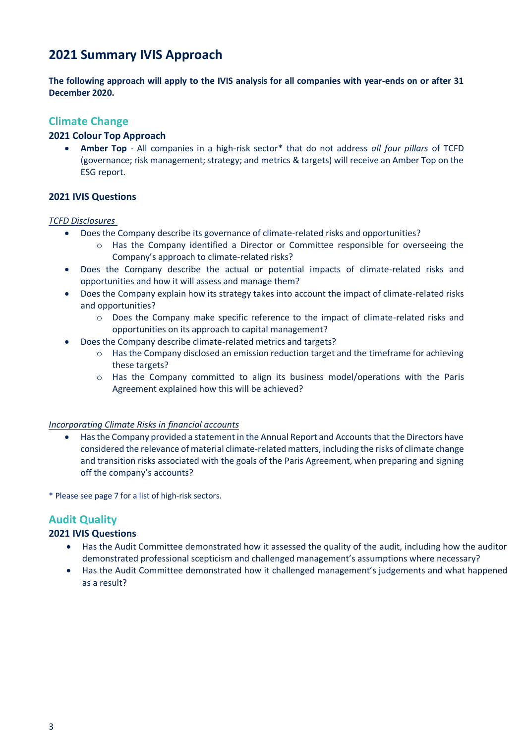### **2021 Summary IVIS Approach**

**The following approach will apply to the IVIS analysis for all companies with year-ends on or after 31 December 2020.** 

### **Climate Change**

### **2021 Colour Top Approach**

• **Amber Top** - All companies in a high-risk sector\* that do not address *all four pillars* of TCFD (governance; risk management; strategy; and metrics & targets) will receive an Amber Top on the ESG report.

### **2021 IVIS Questions**

#### *TCFD Disclosures*

- Does the Company describe its governance of climate-related risks and opportunities?
	- o Has the Company identified a Director or Committee responsible for overseeing the Company's approach to climate-related risks?
- Does the Company describe the actual or potential impacts of climate-related risks and opportunities and how it will assess and manage them?
- Does the Company explain how its strategy takes into account the impact of climate-related risks and opportunities?
	- o Does the Company make specific reference to the impact of climate-related risks and opportunities on its approach to capital management?
- Does the Company describe climate-related metrics and targets?
	- $\circ$  Has the Company disclosed an emission reduction target and the timeframe for achieving these targets?
	- o Has the Company committed to align its business model/operations with the Paris Agreement explained how this will be achieved?

### *Incorporating Climate Risks in financial accounts*

• Has the Company provided a statement in the Annual Report and Accounts that the Directors have considered the relevance of material climate-related matters, including the risks of climate change and transition risks associated with the goals of the Paris Agreement, when preparing and signing off the company's accounts?

\* Please see page 7 for a list of high-risk sectors.

### **Audit Quality**

### **2021 IVIS Questions**

- Has the Audit Committee demonstrated how it assessed the quality of the audit, including how the auditor demonstrated professional scepticism and challenged management's assumptions where necessary?
- Has the Audit Committee demonstrated how it challenged management's judgements and what happened as a result?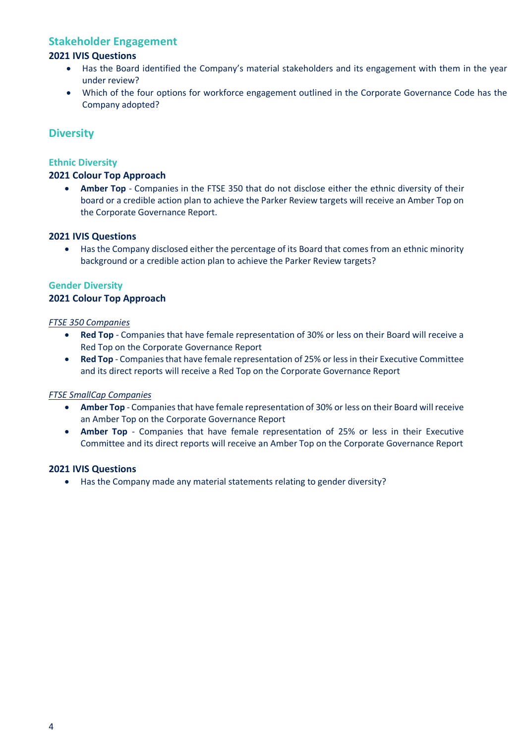### **Stakeholder Engagement**

### **2021 IVIS Questions**

- Has the Board identified the Company's material stakeholders and its engagement with them in the year under review?
- Which of the four options for workforce engagement outlined in the Corporate Governance Code has the Company adopted?

### **Diversity**

### **Ethnic Diversity**

### **2021 Colour Top Approach**

• **Amber Top** - Companies in the FTSE 350 that do not disclose either the ethnic diversity of their board or a credible action plan to achieve the Parker Review targets will receive an Amber Top on the Corporate Governance Report.

### **2021 IVIS Questions**

• Has the Company disclosed either the percentage of its Board that comes from an ethnic minority background or a credible action plan to achieve the Parker Review targets?

### **Gender Diversity**

### **2021 Colour Top Approach**

### *FTSE 350 Companies*

- **Red Top** Companies that have female representation of 30% or less on their Board will receive a Red Top on the Corporate Governance Report
- **Red Top** Companies that have female representation of 25% or less in their Executive Committee and its direct reports will receive a Red Top on the Corporate Governance Report

### *FTSE SmallCap Companies*

- **Amber Top** Companies that have female representation of 30% or less on their Board will receive an Amber Top on the Corporate Governance Report
- **Amber Top** Companies that have female representation of 25% or less in their Executive Committee and its direct reports will receive an Amber Top on the Corporate Governance Report

### **2021 IVIS Questions**

• Has the Company made any material statements relating to gender diversity?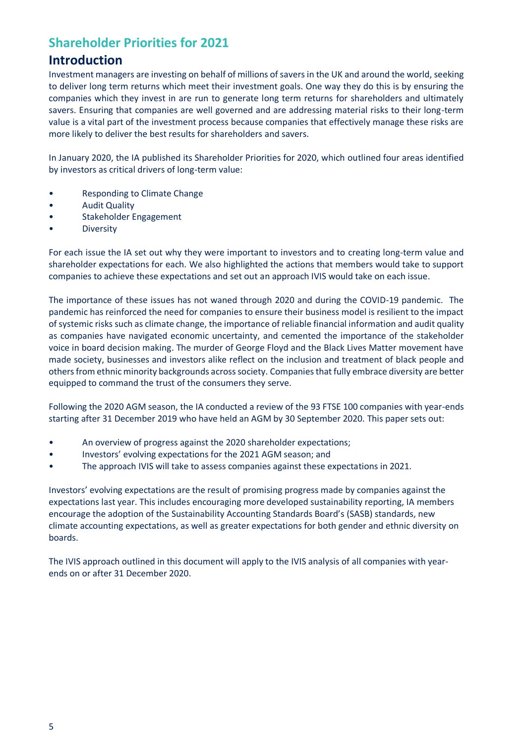# **Shareholder Priorities for 2021**

### **Introduction**

Investment managers are investing on behalf of millions of savers in the UK and around the world, seeking to deliver long term returns which meet their investment goals. One way they do this is by ensuring the companies which they invest in are run to generate long term returns for shareholders and ultimately savers. Ensuring that companies are well governed and are addressing material risks to their long-term value is a vital part of the investment process because companies that effectively manage these risks are more likely to deliver the best results for shareholders and savers.

In January 2020, the IA published its Shareholder Priorities for 2020, which outlined four areas identified by investors as critical drivers of long-term value:

- Responding to Climate Change
- Audit Quality
- Stakeholder Engagement
- Diversity

For each issue the IA set out why they were important to investors and to creating long-term value and shareholder expectations for each. We also highlighted the actions that members would take to support companies to achieve these expectations and set out an approach IVIS would take on each issue.

The importance of these issues has not waned through 2020 and during the COVID-19 pandemic. The pandemic has reinforced the need for companies to ensure their business model is resilient to the impact of systemic risks such as climate change, the importance of reliable financial information and audit quality as companies have navigated economic uncertainty, and cemented the importance of the stakeholder voice in board decision making. The murder of George Floyd and the Black Lives Matter movement have made society, businesses and investors alike reflect on the inclusion and treatment of black people and others from ethnic minority backgrounds across society. Companies that fully embrace diversity are better equipped to command the trust of the consumers they serve.

Following the 2020 AGM season, the IA conducted a review of the 93 FTSE 100 companies with year-ends starting after 31 December 2019 who have held an AGM by 30 September 2020. This paper sets out:

- An overview of progress against the 2020 shareholder expectations;
- Investors' evolving expectations for the 2021 AGM season; and
- The approach IVIS will take to assess companies against these expectations in 2021.

Investors' evolving expectations are the result of promising progress made by companies against the expectations last year. This includes encouraging more developed sustainability reporting, IA members encourage the adoption of the Sustainability Accounting Standards Board's (SASB) standards, new climate accounting expectations, as well as greater expectations for both gender and ethnic diversity on boards.

The IVIS approach outlined in this document will apply to the IVIS analysis of all companies with yearends on or after 31 December 2020.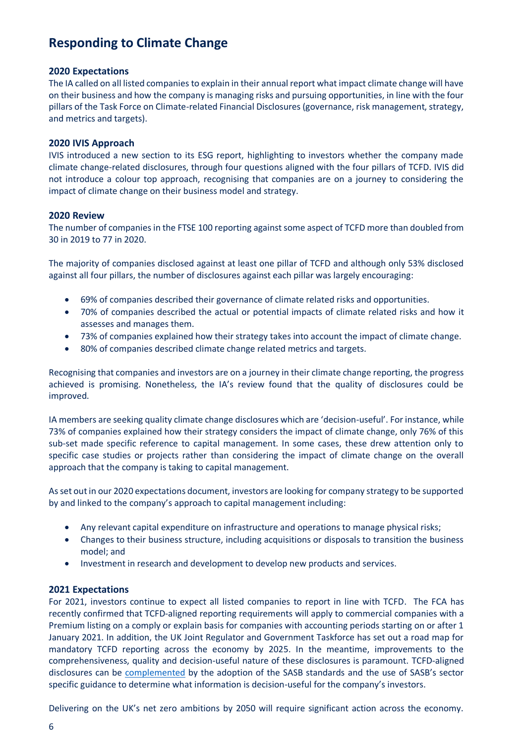### **Responding to Climate Change**

### **2020 Expectations**

The IA called on all listed companies to explain in their annual report what impact climate change will have on their business and how the company is managing risks and pursuing opportunities, in line with the four pillars of the Task Force on Climate-related Financial Disclosures (governance, risk management, strategy, and metrics and targets).

### **2020 IVIS Approach**

IVIS introduced a new section to its ESG report, highlighting to investors whether the company made climate change-related disclosures, through four questions aligned with the four pillars of TCFD. IVIS did not introduce a colour top approach, recognising that companies are on a journey to considering the impact of climate change on their business model and strategy.

### **2020 Review**

The number of companies in the FTSE 100 reporting against some aspect of TCFD more than doubled from 30 in 2019 to 77 in 2020.

The majority of companies disclosed against at least one pillar of TCFD and although only 53% disclosed against all four pillars, the number of disclosures against each pillar was largely encouraging:

- 69% of companies described their governance of climate related risks and opportunities.
- 70% of companies described the actual or potential impacts of climate related risks and how it assesses and manages them.
- 73% of companies explained how their strategy takes into account the impact of climate change.
- 80% of companies described climate change related metrics and targets.

Recognising that companies and investors are on a journey in their climate change reporting, the progress achieved is promising. Nonetheless, the IA's review found that the quality of disclosures could be improved.

IA members are seeking quality climate change disclosures which are 'decision-useful'. For instance, while 73% of companies explained how their strategy considers the impact of climate change, only 76% of this sub-set made specific reference to capital management. In some cases, these drew attention only to specific case studies or projects rather than considering the impact of climate change on the overall approach that the company is taking to capital management.

As set out in our 2020 expectations document, investors are looking for company strategy to be supported by and linked to the company's approach to capital management including:

- Any relevant capital expenditure on infrastructure and operations to manage physical risks;
- Changes to their business structure, including acquisitions or disposals to transition the business model; and
- Investment in research and development to develop new products and services.

### **2021 Expectations**

For 2021, investors continue to expect all listed companies to report in line with TCFD. The FCA has recently confirmed that TCFD-aligned reporting requirements will apply to commercial companies with a Premium listing on a comply or explain basis for companies with accounting periods starting on or after 1 January 2021. In addition, the UK Joint Regulator and Government Taskforce has set out a road map for mandatory TCFD reporting across the economy by 2025. In the meantime, improvements to the comprehensiveness, quality and decision-useful nature of these disclosures is paramount. TCFD-aligned disclosures can be [complemented](https://www.sasb.org/wp-content/uploads/2019/08/TCFD-Implementation-Guide.pdf) by the adoption of the SASB standards and the use of SASB's sector specific guidance to determine what information is decision-useful for the company's investors.

Delivering on the UK's net zero ambitions by 2050 will require significant action across the economy.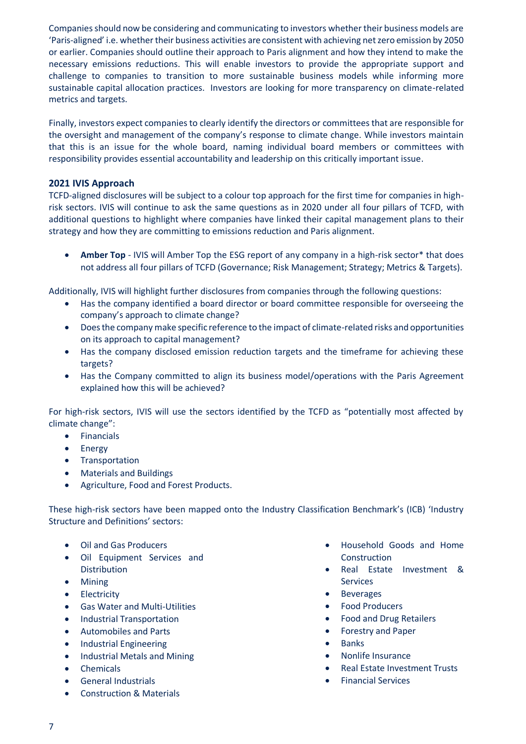Companies should now be considering and communicating to investors whether their business models are 'Paris-aligned' i.e. whether their business activities are consistent with achieving net zero emission by 2050 or earlier. Companies should outline their approach to Paris alignment and how they intend to make the necessary emissions reductions. This will enable investors to provide the appropriate support and challenge to companies to transition to more sustainable business models while informing more sustainable capital allocation practices. Investors are looking for more transparency on climate-related metrics and targets.

Finally, investors expect companies to clearly identify the directors or committees that are responsible for the oversight and management of the company's response to climate change. While investors maintain that this is an issue for the whole board, naming individual board members or committees with responsibility provides essential accountability and leadership on this critically important issue.

### **2021 IVIS Approach**

TCFD-aligned disclosures will be subject to a colour top approach for the first time for companies in highrisk sectors. IVIS will continue to ask the same questions as in 2020 under all four pillars of TCFD, with additional questions to highlight where companies have linked their capital management plans to their strategy and how they are committing to emissions reduction and Paris alignment.

Amber Top - IVIS will Amber Top the ESG report of any company in a high-risk sector<sup>\*</sup> that does not address all four pillars of TCFD (Governance; Risk Management; Strategy; Metrics & Targets).

Additionally, IVIS will highlight further disclosures from companies through the following questions:

- Has the company identified a board director or board committee responsible for overseeing the company's approach to climate change?
- Does the company make specific reference to the impact of climate-related risks and opportunities on its approach to capital management?
- Has the company disclosed emission reduction targets and the timeframe for achieving these targets?
- Has the Company committed to align its business model/operations with the Paris Agreement explained how this will be achieved?

For high-risk sectors, IVIS will use the sectors identified by the TCFD as "potentially most affected by climate change":

- Financials
- Energy
- Transportation
- Materials and Buildings
- Agriculture, Food and Forest Products.

These high-risk sectors have been mapped onto the Industry Classification Benchmark's (ICB) 'Industry Structure and Definitions' sectors:

- Oil and Gas Producers
- Oil Equipment Services and Distribution
- Mining
- Electricity
- Gas Water and Multi-Utilities
- Industrial Transportation
- Automobiles and Parts
- Industrial Engineering
- Industrial Metals and Mining
- Chemicals
- General Industrials
- Construction & Materials
- Household Goods and Home Construction
- Real Estate Investment & Services
- **Beverages**
- Food Producers
- Food and Drug Retailers
- Forestry and Paper
- **Banks**
- Nonlife Insurance
- Real Estate Investment Trusts
- Financial Services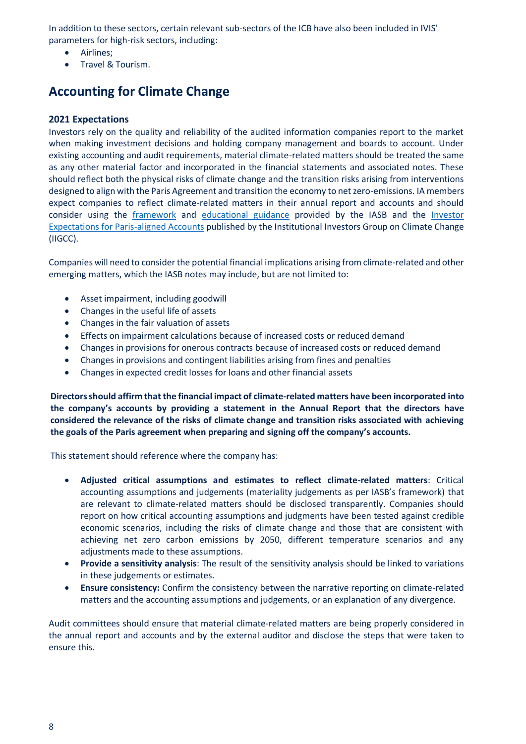In addition to these sectors, certain relevant sub-sectors of the ICB have also been included in IVIS' parameters for high-risk sectors, including:

- Airlines;
- Travel & Tourism.

# **Accounting for Climate Change**

### **2021 Expectations**

Investors rely on the quality and reliability of the audited information companies report to the market when making investment decisions and holding company management and boards to account. Under existing accounting and audit requirements, material climate-related matters should be treated the same as any other material factor and incorporated in the financial statements and associated notes. These should reflect both the physical risks of climate change and the transition risks arising from interventions designed to align with the Paris Agreement and transition the economy to net zero-emissions. IA members expect companies to reflect climate-related matters in their annual report and accounts and should consider using the [framework](https://cdn.ifrs.org/-/media/feature/news/2019/november/in-brief-climate-change-nick-anderson.pdf?la=en) and [educational guidance](https://www.ifrs.org/-/media/feature/supporting-implementation/documents/effects-of-climate-related-matters-on-financial-statements) provided by the IASB and the [Investor](https://www.iigcc.org/resource/investor-expectations-for-paris-aligned-accounts/)  [Expectations for Paris-aligned Accounts](https://www.iigcc.org/resource/investor-expectations-for-paris-aligned-accounts/) published by the Institutional Investors Group on Climate Change (IIGCC).

Companies will need to consider the potential financial implications arising from climate-related and other emerging matters, which the IASB notes may include, but are not limited to:

- Asset impairment, including goodwill
- Changes in the useful life of assets
- Changes in the fair valuation of assets
- Effects on impairment calculations because of increased costs or reduced demand
- Changes in provisions for onerous contracts because of increased costs or reduced demand
- Changes in provisions and contingent liabilities arising from fines and penalties
- Changes in expected credit losses for loans and other financial assets

**Directors should affirm that the financial impact of climate-related matters have been incorporated into the company's accounts by providing a statement in the Annual Report that the directors have considered the relevance of the risks of climate change and transition risks associated with achieving the goals of the Paris agreement when preparing and signing off the company's accounts.** 

This statement should reference where the company has:

- **Adjusted critical assumptions and estimates to reflect climate-related matters**: Critical accounting assumptions and judgements (materiality judgements as per IASB's framework) that are relevant to climate-related matters should be disclosed transparently. Companies should report on how critical accounting assumptions and judgments have been tested against credible economic scenarios, including the risks of climate change and those that are consistent with achieving net zero carbon emissions by 2050, different temperature scenarios and any adjustments made to these assumptions.
- **Provide a sensitivity analysis**: The result of the sensitivity analysis should be linked to variations in these judgements or estimates.
- **Ensure consistency:** Confirm the consistency between the narrative reporting on climate-related matters and the accounting assumptions and judgements, or an explanation of any divergence.

Audit committees should ensure that material climate-related matters are being properly considered in the annual report and accounts and by the external auditor and disclose the steps that were taken to ensure this.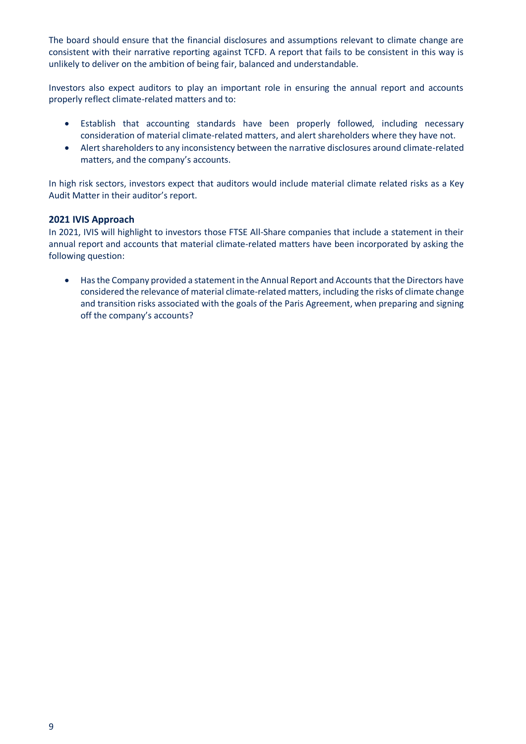The board should ensure that the financial disclosures and assumptions relevant to climate change are consistent with their narrative reporting against TCFD. A report that fails to be consistent in this way is unlikely to deliver on the ambition of being fair, balanced and understandable.

Investors also expect auditors to play an important role in ensuring the annual report and accounts properly reflect climate-related matters and to:

- Establish that accounting standards have been properly followed, including necessary consideration of material climate-related matters, and alert shareholders where they have not.
- Alert shareholders to any inconsistency between the narrative disclosures around climate-related matters, and the company's accounts.

In high risk sectors, investors expect that auditors would include material climate related risks as a Key Audit Matter in their auditor's report.

### **2021 IVIS Approach**

In 2021, IVIS will highlight to investors those FTSE All-Share companies that include a statement in their annual report and accounts that material climate-related matters have been incorporated by asking the following question:

• Has the Company provided a statement in the Annual Report and Accounts that the Directors have considered the relevance of material climate-related matters, including the risks of climate change and transition risks associated with the goals of the Paris Agreement, when preparing and signing off the company's accounts?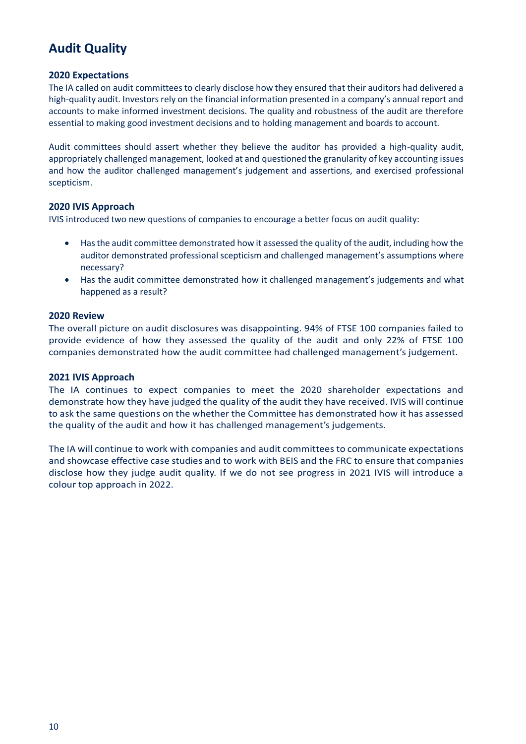# **Audit Quality**

### **2020 Expectations**

The IA called on audit committees to clearly disclose how they ensured that their auditors had delivered a high-quality audit. Investors rely on the financial information presented in a company's annual report and accounts to make informed investment decisions. The quality and robustness of the audit are therefore essential to making good investment decisions and to holding management and boards to account.

Audit committees should assert whether they believe the auditor has provided a high-quality audit, appropriately challenged management, looked at and questioned the granularity of key accounting issues and how the auditor challenged management's judgement and assertions, and exercised professional scepticism.

### **2020 IVIS Approach**

IVIS introduced two new questions of companies to encourage a better focus on audit quality:

- Has the audit committee demonstrated how it assessed the quality of the audit, including how the auditor demonstrated professional scepticism and challenged management's assumptions where necessary?
- Has the audit committee demonstrated how it challenged management's judgements and what happened as a result?

### **2020 Review**

The overall picture on audit disclosures was disappointing. 94% of FTSE 100 companies failed to provide evidence of how they assessed the quality of the audit and only 22% of FTSE 100 companies demonstrated how the audit committee had challenged management's judgement.

### **2021 IVIS Approach**

The IA continues to expect companies to meet the 2020 shareholder expectations and demonstrate how they have judged the quality of the audit they have received. IVIS will continue to ask the same questions on the whether the Committee has demonstrated how it has assessed the quality of the audit and how it has challenged management's judgements.

The IA will continue to work with companies and audit committees to communicate expectations and showcase effective case studies and to work with BEIS and the FRC to ensure that companies disclose how they judge audit quality. If we do not see progress in 2021 IVIS will introduce a colour top approach in 2022.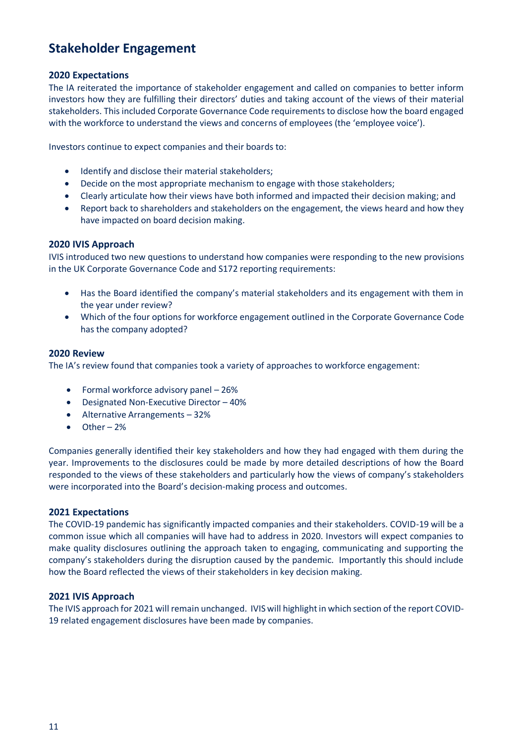## **Stakeholder Engagement**

### **2020 Expectations**

The IA reiterated the importance of stakeholder engagement and called on companies to better inform investors how they are fulfilling their directors' duties and taking account of the views of their material stakeholders. This included Corporate Governance Code requirements to disclose how the board engaged with the workforce to understand the views and concerns of employees (the 'employee voice').

Investors continue to expect companies and their boards to:

- Identify and disclose their material stakeholders;
- Decide on the most appropriate mechanism to engage with those stakeholders;
- Clearly articulate how their views have both informed and impacted their decision making; and
- Report back to shareholders and stakeholders on the engagement, the views heard and how they have impacted on board decision making.

### **2020 IVIS Approach**

IVIS introduced two new questions to understand how companies were responding to the new provisions in the UK Corporate Governance Code and S172 reporting requirements:

- Has the Board identified the company's material stakeholders and its engagement with them in the year under review?
- Which of the four options for workforce engagement outlined in the Corporate Governance Code has the company adopted?

### **2020 Review**

The IA's review found that companies took a variety of approaches to workforce engagement:

- Formal workforce advisory panel 26%
- Designated Non-Executive Director 40%
- Alternative Arrangements 32%
- Other 2%

Companies generally identified their key stakeholders and how they had engaged with them during the year. Improvements to the disclosures could be made by more detailed descriptions of how the Board responded to the views of these stakeholders and particularly how the views of company's stakeholders were incorporated into the Board's decision-making process and outcomes.

### **2021 Expectations**

The COVID-19 pandemic has significantly impacted companies and their stakeholders. COVID-19 will be a common issue which all companies will have had to address in 2020. Investors will expect companies to make quality disclosures outlining the approach taken to engaging, communicating and supporting the company's stakeholders during the disruption caused by the pandemic. Importantly this should include how the Board reflected the views of their stakeholders in key decision making.

### **2021 IVIS Approach**

The IVIS approach for 2021 will remain unchanged. IVIS will highlight in which section of the report COVID-19 related engagement disclosures have been made by companies.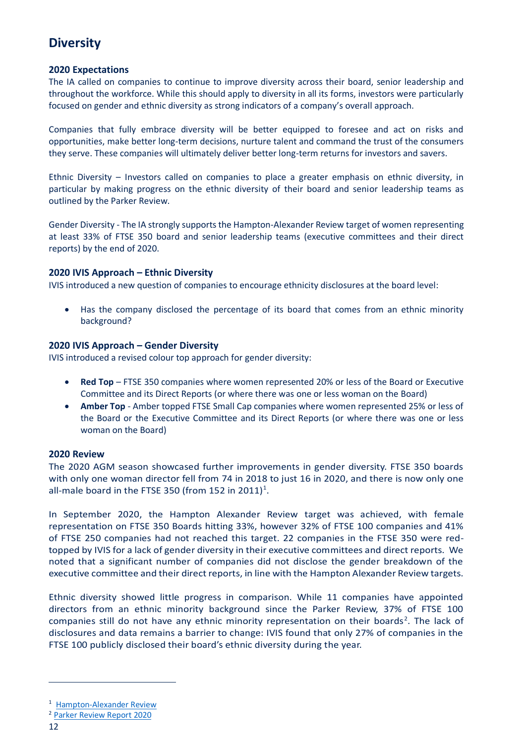### **Diversity**

### **2020 Expectations**

The IA called on companies to continue to improve diversity across their board, senior leadership and throughout the workforce. While this should apply to diversity in all its forms, investors were particularly focused on gender and ethnic diversity as strong indicators of a company's overall approach.

Companies that fully embrace diversity will be better equipped to foresee and act on risks and opportunities, make better long-term decisions, nurture talent and command the trust of the consumers they serve. These companies will ultimately deliver better long-term returns for investors and savers.

Ethnic Diversity – Investors called on companies to place a greater emphasis on ethnic diversity, in particular by making progress on the ethnic diversity of their board and senior leadership teams as outlined by the Parker Review.

Gender Diversity - The IA strongly supports the Hampton-Alexander Review target of women representing at least 33% of FTSE 350 board and senior leadership teams (executive committees and their direct reports) by the end of 2020.

### **2020 IVIS Approach – Ethnic Diversity**

IVIS introduced a new question of companies to encourage ethnicity disclosures at the board level:

• Has the company disclosed the percentage of its board that comes from an ethnic minority background?

### **2020 IVIS Approach – Gender Diversity**

IVIS introduced a revised colour top approach for gender diversity:

- **Red Top** FTSE 350 companies where women represented 20% or less of the Board or Executive Committee and its Direct Reports (or where there was one or less woman on the Board)
- **Amber Top** Amber topped FTSE Small Cap companies where women represented 25% or less of the Board or the Executive Committee and its Direct Reports (or where there was one or less woman on the Board)

### **2020 Review**

The 2020 AGM season showcased further improvements in gender diversity. FTSE 350 boards with only one woman director fell from 74 in 2018 to just 16 in 2020, and there is now only one all-male board in the FTSE 350 (from 152 in 2011)<sup>1</sup>.

In September 2020, the Hampton Alexander Review target was achieved, with female representation on FTSE 350 Boards hitting 33%, however 32% of FTSE 100 companies and 41% of FTSE 250 companies had not reached this target. 22 companies in the FTSE 350 were redtopped by IVIS for a lack of gender diversity in their executive committees and direct reports. We noted that a significant number of companies did not disclose the gender breakdown of the executive committee and their direct reports, in line with the Hampton Alexander Review targets.

Ethnic diversity showed little progress in comparison. While 11 companies have appointed directors from an ethnic minority background since the Parker Review, 37% of FTSE 100 companies still do not have any ethnic minority representation on their boards<sup>2</sup>. The lack of disclosures and data remains a barrier to change: IVIS found that only 27% of companies in the FTSE 100 publicly disclosed their board's ethnic diversity during the year.

<sup>1</sup> [Hampton-Alexander Review](https://ftsewomenleaders.com/wp-content/uploads/2020/10/HA-Review-BEIS-PR_Sept-2020.pdf)

<sup>2</sup> [Parker Review Report 2020](https://www.ey.com/en_uk/news/2020/02/new-parker-review-report-reveals-slow-progress-on-ethnic-diversity-of-ftse-boards#:~:text=A%20new%20Parker%20Review%20report,minority%20representation%20on%20their%20boards.)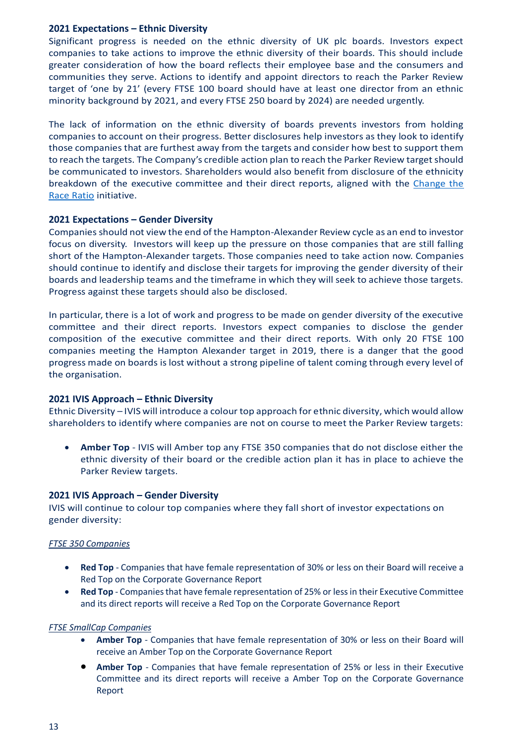### **2021 Expectations – Ethnic Diversity**

Significant progress is needed on the ethnic diversity of UK plc boards. Investors expect companies to take actions to improve the ethnic diversity of their boards. This should include greater consideration of how the board reflects their employee base and the consumers and communities they serve. Actions to identify and appoint directors to reach the Parker Review target of 'one by 21' (every FTSE 100 board should have at least one director from an ethnic minority background by 2021, and every FTSE 250 board by 2024) are needed urgently.

The lack of information on the ethnic diversity of boards prevents investors from holding companies to account on their progress. Better disclosures help investors as they look to identify those companies that are furthest away from the targets and consider how best to support them to reach the targets. The Company's credible action plan to reach the Parker Review target should be communicated to investors. Shareholders would also benefit from disclosure of the ethnicity breakdown of the executive committee and their direct reports, aligned with the [Change the](https://changetheraceratio.com/)  [Race Ratio](https://changetheraceratio.com/) initiative.

### **2021 Expectations – Gender Diversity**

Companiesshould not view the end of the Hampton-Alexander Review cycle as an end to investor focus on diversity. Investors will keep up the pressure on those companies that are still falling short of the Hampton-Alexander targets. Those companies need to take action now. Companies should continue to identify and disclose their targets for improving the gender diversity of their boards and leadership teams and the timeframe in which they will seek to achieve those targets. Progress against these targets should also be disclosed.

In particular, there is a lot of work and progress to be made on gender diversity of the executive committee and their direct reports. Investors expect companies to disclose the gender composition of the executive committee and their direct reports. With only 20 FTSE 100 companies meeting the Hampton Alexander target in 2019, there is a danger that the good progress made on boards is lost without a strong pipeline of talent coming through every level of the organisation.

### **2021 IVIS Approach – Ethnic Diversity**

Ethnic Diversity – IVIS will introduce a colour top approach for ethnic diversity, which would allow shareholders to identify where companies are not on course to meet the Parker Review targets:

• **Amber Top** - IVIS will Amber top any FTSE 350 companies that do not disclose either the ethnic diversity of their board or the credible action plan it has in place to achieve the Parker Review targets.

### **2021 IVIS Approach – Gender Diversity**

IVIS will continue to colour top companies where they fall short of investor expectations on gender diversity:

### *FTSE 350 Companies*

- **Red Top** Companies that have female representation of 30% or less on their Board will receive a Red Top on the Corporate Governance Report
- **Red Top** Companies that have female representation of 25% or less in their Executive Committee and its direct reports will receive a Red Top on the Corporate Governance Report

### *FTSE SmallCap Companies*

- **Amber Top** Companies that have female representation of 30% or less on their Board will receive an Amber Top on the Corporate Governance Report
- **Amber Top** Companies that have female representation of 25% or less in their Executive Committee and its direct reports will receive a Amber Top on the Corporate Governance Report